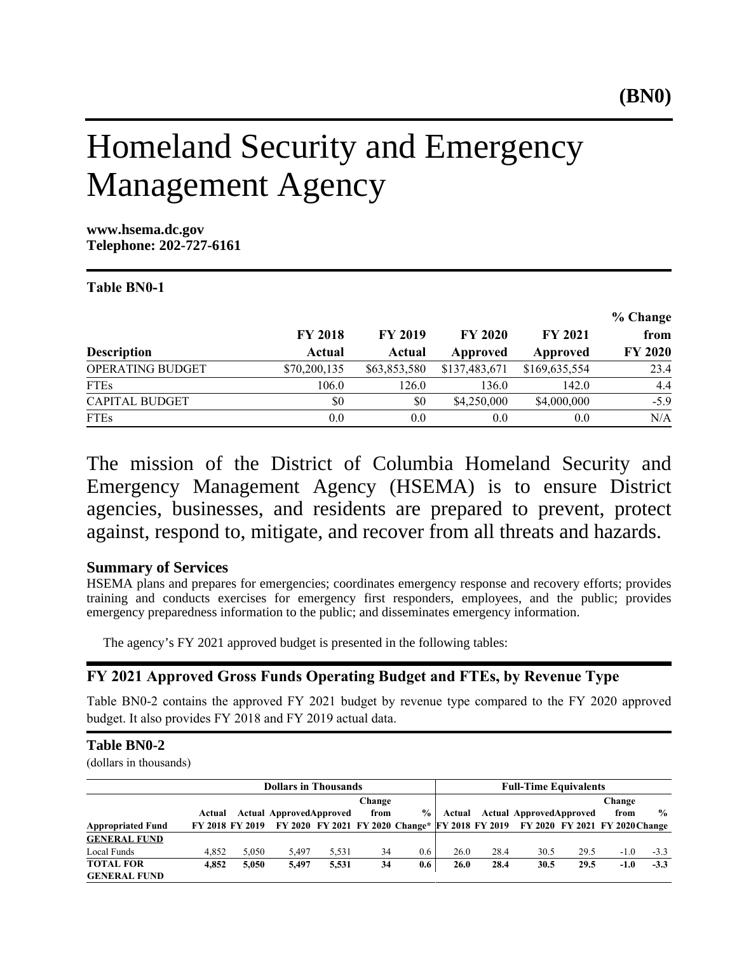# Homeland Security and Emergency Management Agency

**www.hsema.dc.gov Telephone: 202-727-6161**

#### Table BN0-1

|                       |                |                |                |               | % Change       |
|-----------------------|----------------|----------------|----------------|---------------|----------------|
|                       | <b>FY 2018</b> | <b>FY 2019</b> | <b>FY 2020</b> | FY 2021       | from           |
| <b>Description</b>    | Actual         | Actual         | Approved       | Approved      | <b>FY 2020</b> |
| OPERATING BUDGET      | \$70,200,135   | \$63,853,580   | \$137,483,671  | \$169,635,554 | 23.4           |
| <b>FTEs</b>           | 106.0          | 126.0          | 136.0          | 142.0         | 4.4            |
| <b>CAPITAL BUDGET</b> | \$0            | \$0            | \$4,250,000    | \$4,000,000   | $-5.9$         |
| <b>FTEs</b>           | 0.0            | 0.0            | 0.0            | 0.0           | N/A            |

The mission of the District of Columbia Homeland Security and Emergency Management Agency (HSEMA) is to ensure District agencies, businesses, and residents are prepared to prevent, protect against, respond to, mitigate, and recover from all threats and hazards.

# **Summary of Services**

HSEMA plans and prepares for emergencies; coordinates emergency response and recovery efforts; provides training and conducts exercises for emergency first responders, employees, and the public; provides emergency preparedness information to the public; and disseminates emergency information.

The agency's FY 2021 approved budget is presented in the following tables:

# FY 2021 Approved Gross Funds Operating Budget and FTEs, by Revenue Type

Table BN0-2 contains the approved FY 2021 budget by revenue type compared to the FY 2020 approved budget. It also provides FY 2018 and FY 2019 actual data.

#### **Table BN0-2**

(dollars in thousands)

|                                         | <b>Dollars in Thousands</b> |                 |                                |       |        |      | <b>Full-Time Equivalents</b> |      |                                                                                |      |        |               |
|-----------------------------------------|-----------------------------|-----------------|--------------------------------|-------|--------|------|------------------------------|------|--------------------------------------------------------------------------------|------|--------|---------------|
|                                         |                             |                 |                                |       | Change |      |                              |      |                                                                                |      | Change |               |
|                                         | Actual                      |                 | <b>Actual ApprovedApproved</b> |       | from   | $\%$ | Actual                       |      | <b>Actual ApprovedApproved</b>                                                 |      | from   | $\frac{0}{0}$ |
| <b>Appropriated Fund</b>                |                             | FY 2018 FY 2019 |                                |       |        |      |                              |      | FY 2020 FY 2021 FY 2020 Change* FY 2018 FY 2019 FY 2020 FY 2021 FY 2020 Change |      |        |               |
| <b>GENERAL FUND</b>                     |                             |                 |                                |       |        |      |                              |      |                                                                                |      |        |               |
| Local Funds                             | 4.852                       | 5.050           | 5.497                          | 5.531 | 34     | 0.6  | 26.0                         | 28.4 | 30.5                                                                           | 29.5 | $-1.0$ | $-3.3$        |
| <b>TOTAL FOR</b><br><b>GENERAL FUND</b> | 4.852                       | 5.050           | 5,497                          | 5.531 | 34     | 0.6  | 26.0                         | 28.4 | 30.5                                                                           | 29.5 | $-1.0$ | $-3.3$        |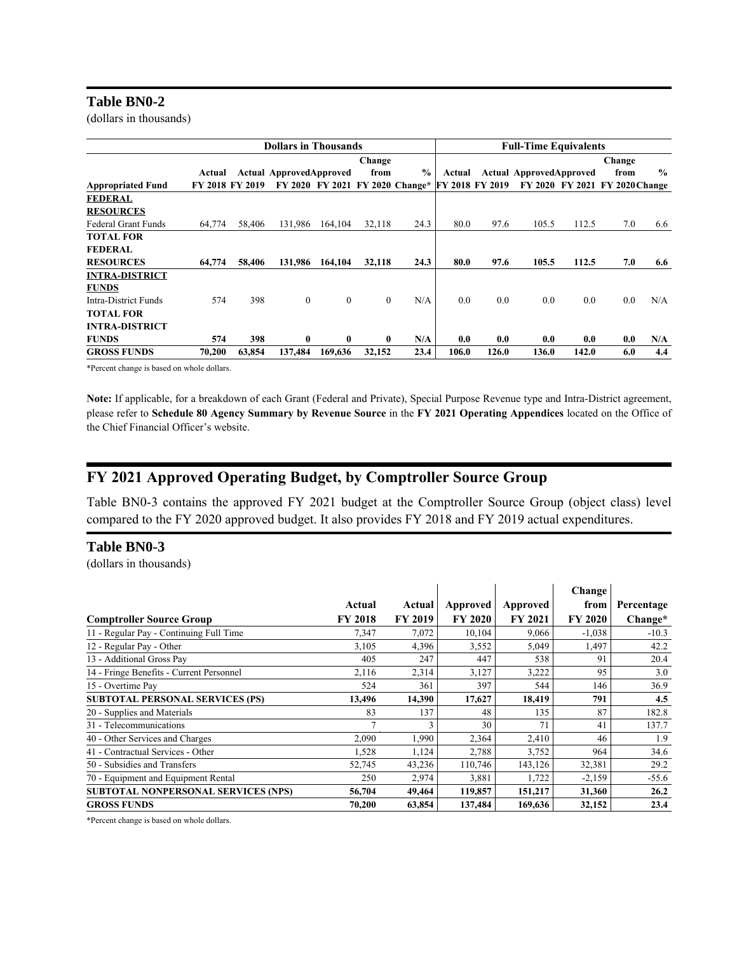#### **Table BN0-2**

(dollars in thousands)

|                            |        |                 | <b>Dollars in Thousands</b>    |                 |              |                 | <b>Full-Time Equivalents</b> |       |                                |       |                                |               |
|----------------------------|--------|-----------------|--------------------------------|-----------------|--------------|-----------------|------------------------------|-------|--------------------------------|-------|--------------------------------|---------------|
|                            |        |                 |                                |                 | Change       |                 |                              |       |                                |       | Change                         |               |
|                            | Actual |                 | <b>Actual ApprovedApproved</b> |                 | from         | $\frac{0}{0}$   | Actual                       |       | <b>Actual ApprovedApproved</b> |       | from                           | $\frac{0}{0}$ |
| <b>Appropriated Fund</b>   |        | FY 2018 FY 2019 |                                | FY 2020 FY 2021 |              | FY 2020 Change* | FY 2018 FY 2019              |       |                                |       | FY 2020 FY 2021 FY 2020 Change |               |
| <b>FEDERAL</b>             |        |                 |                                |                 |              |                 |                              |       |                                |       |                                |               |
| <b>RESOURCES</b>           |        |                 |                                |                 |              |                 |                              |       |                                |       |                                |               |
| <b>Federal Grant Funds</b> | 64,774 | 58,406          | 131,986                        | 164,104         | 32,118       | 24.3            | 80.0                         | 97.6  | 105.5                          | 112.5 | 7.0                            | 6.6           |
| <b>TOTAL FOR</b>           |        |                 |                                |                 |              |                 |                              |       |                                |       |                                |               |
| <b>FEDERAL</b>             |        |                 |                                |                 |              |                 |                              |       |                                |       |                                |               |
| <b>RESOURCES</b>           | 64,774 | 58,406          | 131.986                        | 164,104         | 32.118       | 24.3            | 80.0                         | 97.6  | 105.5                          | 112.5 | 7.0                            | 6.6           |
| <b>INTRA-DISTRICT</b>      |        |                 |                                |                 |              |                 |                              |       |                                |       |                                |               |
| <b>FUNDS</b>               |        |                 |                                |                 |              |                 |                              |       |                                |       |                                |               |
| Intra-District Funds       | 574    | 398             | $\overline{0}$                 | $\mathbf{0}$    | $\mathbf{0}$ | N/A             | 0.0                          | 0.0   | 0.0                            | 0.0   | 0.0                            | N/A           |
| <b>TOTAL FOR</b>           |        |                 |                                |                 |              |                 |                              |       |                                |       |                                |               |
| <b>INTRA-DISTRICT</b>      |        |                 |                                |                 |              |                 |                              |       |                                |       |                                |               |
| <b>FUNDS</b>               | 574    | 398             | $\bf{0}$                       | $\bf{0}$        | $\bf{0}$     | N/A             | 0.0                          | 0.0   | 0.0                            | 0.0   | 0.0                            | N/A           |
| <b>GROSS FUNDS</b>         | 70,200 | 63,854          | 137.484                        | 169,636         | 32,152       | 23.4            | 106.0                        | 126.0 | 136.0                          | 142.0 | 6.0                            | 4.4           |

\*Percent change is based on whole dollars.

Note: If applicable, for a breakdown of each Grant (Federal and Private), Special Purpose Revenue type and Intra-District agreement, please refer to Schedule 80 Agency Summary by Revenue Source in the FY 2021 Operating Appendices located on the Office of the Chief Financial Officer's website.

# FY 2021 Approved Operating Budget, by Comptroller Source Group

Table BN0-3 contains the approved FY 2021 budget at the Comptroller Source Group (object class) level compared to the FY 2020 approved budget. It also provides FY 2018 and FY 2019 actual expenditures.

#### **Table BN0-3**

(dollars in thousands)

|                                            |                |                |                |                | Change         |            |
|--------------------------------------------|----------------|----------------|----------------|----------------|----------------|------------|
|                                            | Actual         | Actual         | Approved       | Approved       | from           | Percentage |
| <b>Comptroller Source Group</b>            | <b>FY 2018</b> | <b>FY 2019</b> | <b>FY 2020</b> | <b>FY 2021</b> | <b>FY 2020</b> | Change*    |
| 11 - Regular Pay - Continuing Full Time    | 7,347          | 7,072          | 10,104         | 9,066          | $-1,038$       | $-10.3$    |
| 12 - Regular Pay - Other                   | 3,105          | 4,396          | 3,552          | 5,049          | 1,497          | 42.2       |
| 13 - Additional Gross Pay                  | 405            | 247            | 447            | 538            | 91             | 20.4       |
| 14 - Fringe Benefits - Current Personnel   | 2,116          | 2,314          | 3,127          | 3,222          | 95             | 3.0        |
| 15 - Overtime Pay                          | 524            | 361            | 397            | 544            | 146            | 36.9       |
| <b>SUBTOTAL PERSONAL SERVICES (PS)</b>     | 13,496         | 14,390         | 17,627         | 18,419         | 791            | 4.5        |
| 20 - Supplies and Materials                | 83             | 137            | 48             | 135            | 87             | 182.8      |
| 31 - Telecommunications                    |                | 3              | 30             | 71             | 41             | 137.7      |
| 40 - Other Services and Charges            | 2,090          | 1,990          | 2,364          | 2,410          | 46             | 1.9        |
| 41 - Contractual Services - Other          | 1,528          | 1,124          | 2,788          | 3,752          | 964            | 34.6       |
| 50 - Subsidies and Transfers               | 52,745         | 43,236         | 110,746        | 143,126        | 32,381         | 29.2       |
| 70 - Equipment and Equipment Rental        | 250            | 2,974          | 3,881          | 1,722          | $-2,159$       | $-55.6$    |
| <b>SUBTOTAL NONPERSONAL SERVICES (NPS)</b> | 56,704         | 49,464         | 119,857        | 151,217        | 31,360         | 26.2       |
| <b>GROSS FUNDS</b>                         | 70,200         | 63,854         | 137,484        | 169,636        | 32,152         | 23.4       |

\*Percent change is based on whole dollars.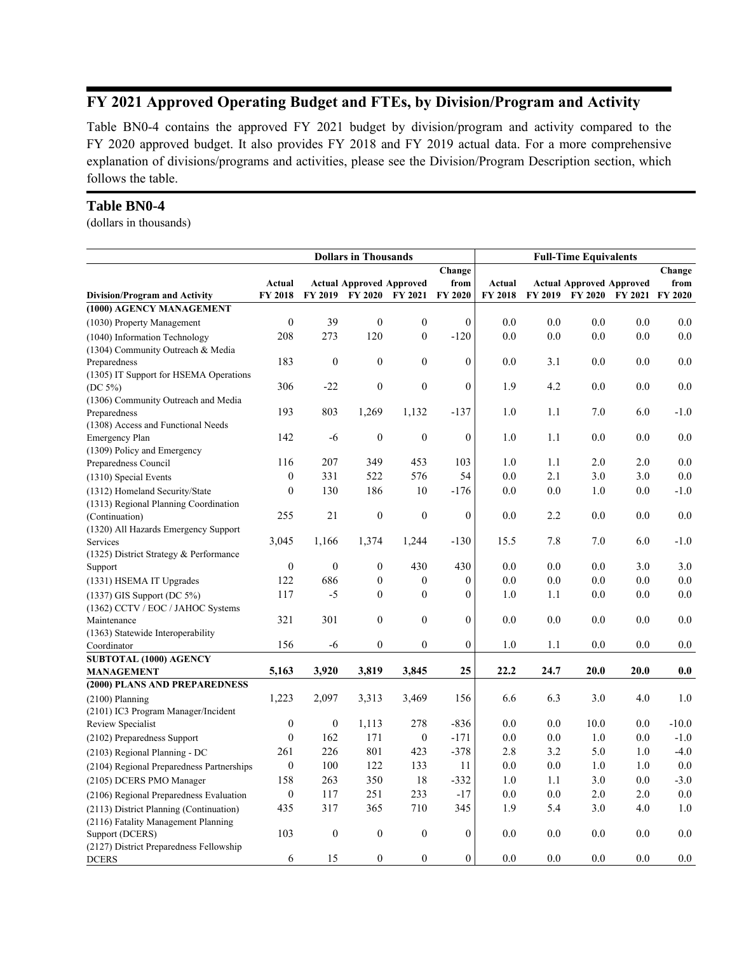# FY 2021 Approved Operating Budget and FTEs, by Division/Program and Activity

Table BN0-4 contains the approved FY 2021 budget by division/program and activity compared to the FY 2020 approved budget. It also provides FY 2018 and FY 2019 actual data. For a more comprehensive explanation of divisions/programs and activities, please see the Division/Program Description section, which follows the table.

#### **Table BN0-4**

(dollars in thousands)

|                                                             | <b>Dollars in Thousands</b> |                  |                                 |                  | <b>Full-Time Equivalents</b> |         |                |                |                                 |                |
|-------------------------------------------------------------|-----------------------------|------------------|---------------------------------|------------------|------------------------------|---------|----------------|----------------|---------------------------------|----------------|
|                                                             |                             |                  |                                 |                  | Change                       |         |                |                |                                 | Change         |
|                                                             | Actual                      |                  | <b>Actual Approved Approved</b> |                  | from                         | Actual  |                |                | <b>Actual Approved Approved</b> | from           |
| <b>Division/Program and Activity</b>                        | FY 2018                     | FY 2019          | <b>FY 2020</b>                  | FY 2021          | FY 2020                      | FY 2018 | <b>FY 2019</b> | <b>FY 2020</b> | <b>FY 2021</b>                  | <b>FY 2020</b> |
| (1000) AGENCY MANAGEMENT                                    |                             |                  |                                 |                  |                              |         |                |                |                                 |                |
| (1030) Property Management                                  | $\boldsymbol{0}$            | 39               | $\boldsymbol{0}$                | $\boldsymbol{0}$ | $\boldsymbol{0}$             | 0.0     | 0.0            | 0.0            | 0.0                             | $0.0\,$        |
| (1040) Information Technology                               | 208                         | 273              | 120                             | $\mathbf{0}$     | $-120$                       | 0.0     | 0.0            | 0.0            | 0.0                             | 0.0            |
| (1304) Community Outreach & Media                           |                             |                  |                                 |                  |                              |         |                |                |                                 |                |
| Preparedness                                                | 183                         | $\boldsymbol{0}$ | $\boldsymbol{0}$                | $\mathbf{0}$     | $\boldsymbol{0}$             | 0.0     | 3.1            | 0.0            | $0.0\,$                         | 0.0            |
| (1305) IT Support for HSEMA Operations                      |                             |                  |                                 |                  |                              |         |                |                |                                 |                |
| (DC $5\%$ )                                                 | 306                         | $-22$            | $\boldsymbol{0}$                | $\overline{0}$   | $\boldsymbol{0}$             | 1.9     | 4.2            | 0.0            | 0.0                             | 0.0            |
| (1306) Community Outreach and Media                         |                             |                  |                                 |                  |                              |         |                |                |                                 |                |
| Preparedness                                                | 193                         | 803              | 1,269                           | 1,132            | $-137$                       | 1.0     | 1.1            | 7.0            | 6.0                             | $-1.0$         |
| (1308) Access and Functional Needs<br><b>Emergency Plan</b> | 142                         | $-6$             | $\boldsymbol{0}$                | $\boldsymbol{0}$ | $\boldsymbol{0}$             | 1.0     | 1.1            | 0.0            | $0.0\,$                         | 0.0            |
| (1309) Policy and Emergency                                 |                             |                  |                                 |                  |                              |         |                |                |                                 |                |
| Preparedness Council                                        | 116                         | 207              | 349                             | 453              | 103                          | 1.0     | 1.1            | 2.0            | 2.0                             | $0.0\,$        |
| (1310) Special Events                                       | $\mathbf{0}$                | 331              | 522                             | 576              | 54                           | 0.0     | 2.1            | 3.0            | 3.0                             | 0.0            |
| (1312) Homeland Security/State                              | $\boldsymbol{0}$            | 130              | 186                             | 10               | $-176$                       | 0.0     | 0.0            | 1.0            | 0.0                             | $-1.0$         |
| (1313) Regional Planning Coordination                       |                             |                  |                                 |                  |                              |         |                |                |                                 |                |
| (Continuation)                                              | 255                         | 21               | $\boldsymbol{0}$                | $\boldsymbol{0}$ | $\boldsymbol{0}$             | 0.0     | 2.2            | 0.0            | 0.0                             | 0.0            |
| (1320) All Hazards Emergency Support                        |                             |                  |                                 |                  |                              |         |                |                |                                 |                |
| Services                                                    | 3,045                       | 1,166            | 1,374                           | 1,244            | $-130$                       | 15.5    | 7.8            | 7.0            | 6.0                             | $-1.0$         |
| (1325) District Strategy & Performance                      |                             |                  |                                 |                  |                              |         |                |                |                                 |                |
| Support                                                     | $\boldsymbol{0}$            | $\boldsymbol{0}$ | $\boldsymbol{0}$                | 430              | 430                          | 0.0     | 0.0            | 0.0            | 3.0                             | 3.0            |
| (1331) HSEMA IT Upgrades                                    | 122                         | 686              | $\boldsymbol{0}$                | $\theta$         | $\boldsymbol{0}$             | 0.0     | 0.0            | 0.0            | 0.0                             | 0.0            |
| (1337) GIS Support (DC 5%)                                  | 117                         | $-5$             | $\overline{0}$                  | $\theta$         | $\overline{0}$               | 1.0     | 1.1            | 0.0            | 0.0                             | 0.0            |
| (1362) CCTV / EOC / JAHOC Systems                           |                             |                  |                                 |                  |                              |         |                |                |                                 |                |
| Maintenance                                                 | 321                         | 301              | $\overline{0}$                  | $\theta$         | $\overline{0}$               | 0.0     | 0.0            | 0.0            | 0.0                             | 0.0            |
| (1363) Statewide Interoperability                           |                             |                  |                                 |                  |                              |         |                |                |                                 |                |
| Coordinator                                                 | 156                         | -6               | $\boldsymbol{0}$                | $\overline{0}$   | $\overline{0}$               | 1.0     | 1.1            | 0.0            | 0.0                             | 0.0            |
| SUBTOTAL (1000) AGENCY                                      |                             |                  |                                 |                  |                              |         |                |                |                                 |                |
| <b>MANAGEMENT</b>                                           | 5,163                       | 3,920            | 3,819                           | 3,845            | 25                           | 22.2    | 24.7           | 20.0           | 20.0                            | 0.0            |
| (2000) PLANS AND PREPAREDNESS                               |                             |                  |                                 |                  |                              |         |                |                |                                 |                |
| $(2100)$ Planning                                           | 1,223                       | 2,097            | 3,313                           | 3,469            | 156                          | 6.6     | 6.3            | 3.0            | 4.0                             | 1.0            |
| (2101) IC3 Program Manager/Incident                         |                             |                  |                                 |                  |                              |         |                |                |                                 |                |
| Review Specialist                                           | $\mathbf{0}$                | $\boldsymbol{0}$ | 1,113                           | 278              | $-836$                       | 0.0     | 0.0            | 10.0           | 0.0                             | $-10.0$        |
| (2102) Preparedness Support                                 | $\mathbf{0}$                | 162              | 171                             | $\boldsymbol{0}$ | $-171$                       | 0.0     | 0.0            | 1.0            | 0.0                             | $-1.0$         |
| (2103) Regional Planning - DC                               | 261                         | 226              | 801                             | 423              | $-378$                       | 2.8     | 3.2            | 5.0            | 1.0                             | $-4.0$         |
| (2104) Regional Preparedness Partnerships                   | $\theta$                    | 100              | 122                             | 133              | 11                           | 0.0     | 0.0            | 1.0            | 1.0                             | 0.0            |
| (2105) DCERS PMO Manager                                    | 158                         | 263              | 350                             | 18               | $-332$                       | 1.0     | 1.1            | 3.0            | 0.0                             | $-3.0$         |
| (2106) Regional Preparedness Evaluation                     | $\boldsymbol{0}$            | 117              | 251                             | 233              | $-17$                        | 0.0     | 0.0            | 2.0            | 2.0                             | 0.0            |
| (2113) District Planning (Continuation)                     | 435                         | 317              | 365                             | 710              | 345                          | 1.9     | 5.4            | 3.0            | 4.0                             | 1.0            |
| (2116) Fatality Management Planning                         |                             |                  |                                 |                  |                              |         |                |                |                                 |                |
| Support (DCERS)                                             | 103                         | $\boldsymbol{0}$ | $\boldsymbol{0}$                | $\boldsymbol{0}$ | $\boldsymbol{0}$             | 0.0     | 0.0            | 0.0            | 0.0                             | 0.0            |
| (2127) District Preparedness Fellowship                     |                             |                  |                                 |                  |                              |         |                |                |                                 |                |
| <b>DCERS</b>                                                | 6                           | 15               | $\overline{0}$                  | $\mathbf{0}$     | $\overline{0}$               | 0.0     | 0.0            | 0.0            | 0.0                             | 0.0            |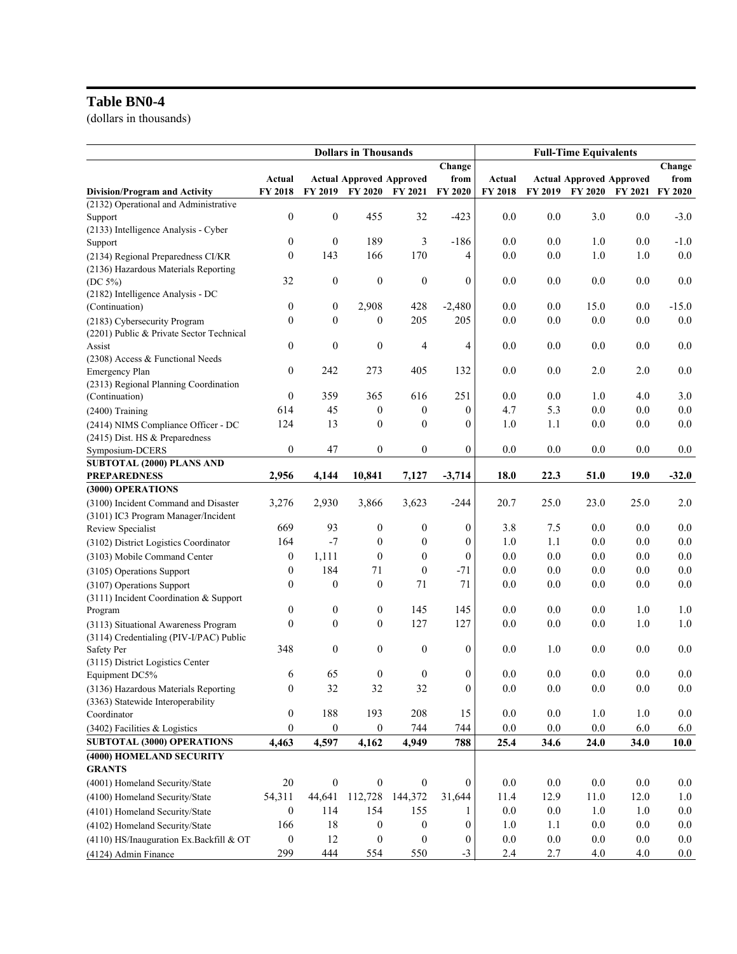# **Table BN0-4**

(dollars in thousands)

|                                            | <b>Dollars in Thousands</b> |                  |                                 |                  | <b>Full-Time Equivalents</b> |         |                |                                 |         |                |
|--------------------------------------------|-----------------------------|------------------|---------------------------------|------------------|------------------------------|---------|----------------|---------------------------------|---------|----------------|
|                                            |                             |                  |                                 |                  | Change                       |         |                |                                 |         | Change         |
|                                            | Actual                      |                  | <b>Actual Approved Approved</b> |                  | from                         | Actual  |                | <b>Actual Approved Approved</b> |         | from           |
| Division/Program and Activity              | FY 2018                     |                  | FY 2019 FY 2020                 | <b>FY 2021</b>   | FY 2020                      | FY 2018 | <b>FY 2019</b> | <b>FY 2020</b>                  | FY 2021 | <b>FY 2020</b> |
| (2132) Operational and Administrative      |                             |                  |                                 |                  |                              |         |                |                                 |         |                |
| Support                                    | $\boldsymbol{0}$            | $\boldsymbol{0}$ | 455                             | 32               | $-423$                       | 0.0     | 0.0            | 3.0                             | 0.0     | $-3.0$         |
| (2133) Intelligence Analysis - Cyber       |                             |                  |                                 |                  |                              |         |                |                                 |         |                |
| Support                                    | 0                           | $\boldsymbol{0}$ | 189                             | 3                | $-186$                       | 0.0     | 0.0            | 1.0                             | 0.0     | $-1.0$         |
| (2134) Regional Preparedness CI/KR         | $\mathbf{0}$                | 143              | 166                             | 170              | 4                            | 0.0     | $0.0\,$        | 1.0                             | 1.0     | $0.0\,$        |
| (2136) Hazardous Materials Reporting       |                             |                  |                                 |                  |                              |         |                |                                 |         |                |
| $(DC 5\%)$                                 | 32                          | $\boldsymbol{0}$ | $\boldsymbol{0}$                | $\boldsymbol{0}$ | $\boldsymbol{0}$             | 0.0     | 0.0            | 0.0                             | 0.0     | 0.0            |
| (2182) Intelligence Analysis - DC          | $\boldsymbol{0}$            | $\boldsymbol{0}$ |                                 | 428              |                              | 0.0     | 0.0            | 15.0                            | 0.0     | $-15.0$        |
| (Continuation)                             |                             |                  | 2,908                           |                  | $-2,480$                     |         |                |                                 |         |                |
| (2183) Cybersecurity Program               | $\boldsymbol{0}$            | $\mathbf{0}$     | $\boldsymbol{0}$                | 205              | 205                          | 0.0     | 0.0            | 0.0                             | 0.0     | 0.0            |
| (2201) Public & Private Sector Technical   | $\boldsymbol{0}$            | $\boldsymbol{0}$ | $\boldsymbol{0}$                | 4                | 4                            | 0.0     | 0.0            | 0.0                             | 0.0     | 0.0            |
| Assist<br>(2308) Access & Functional Needs |                             |                  |                                 |                  |                              |         |                |                                 |         |                |
| Emergency Plan                             | $\boldsymbol{0}$            | 242              | 273                             | 405              | 132                          | 0.0     | 0.0            | 2.0                             | 2.0     | 0.0            |
| (2313) Regional Planning Coordination      |                             |                  |                                 |                  |                              |         |                |                                 |         |                |
| (Continuation)                             | $\boldsymbol{0}$            | 359              | 365                             | 616              | 251                          | 0.0     | 0.0            | 1.0                             | 4.0     | 3.0            |
| (2400) Training                            | 614                         | 45               | $\boldsymbol{0}$                | $\boldsymbol{0}$ | $\boldsymbol{0}$             | 4.7     | 5.3            | 0.0                             | 0.0     | $0.0\,$        |
| (2414) NIMS Compliance Officer - DC        | 124                         | 13               | 0                               | $\mathbf{0}$     | $\boldsymbol{0}$             | 1.0     | 1.1            | 0.0                             | 0.0     | 0.0            |
| (2415) Dist. HS & Preparedness             |                             |                  |                                 |                  |                              |         |                |                                 |         |                |
| Symposium-DCERS                            | $\boldsymbol{0}$            | 47               | 0                               | $\boldsymbol{0}$ | $\mathbf{0}$                 | 0.0     | 0.0            | 0.0                             | 0.0     | 0.0            |
| SUBTOTAL (2000) PLANS AND                  |                             |                  |                                 |                  |                              |         |                |                                 |         |                |
| <b>PREPAREDNESS</b>                        | 2,956                       | 4,144            | 10,841                          | 7,127            | $-3,714$                     | 18.0    | 22.3           | 51.0                            | 19.0    | $-32.0$        |
| (3000) OPERATIONS                          |                             |                  |                                 |                  |                              |         |                |                                 |         |                |
| (3100) Incident Command and Disaster       | 3,276                       | 2,930            | 3,866                           | 3,623            | $-244$                       | 20.7    | 25.0           | 23.0                            | 25.0    | 2.0            |
| (3101) IC3 Program Manager/Incident        |                             |                  |                                 |                  |                              |         |                |                                 |         |                |
| Review Specialist                          | 669                         | 93               | 0                               | $\boldsymbol{0}$ | $\boldsymbol{0}$             | 3.8     | 7.5            | 0.0                             | 0.0     | 0.0            |
| (3102) District Logistics Coordinator      | 164                         | $-7$             | 0                               | $\boldsymbol{0}$ | $\boldsymbol{0}$             | 1.0     | 1.1            | 0.0                             | 0.0     | $0.0\,$        |
| (3103) Mobile Command Center               | $\boldsymbol{0}$            | 1,111            | $\mathbf{0}$                    | $\boldsymbol{0}$ | $\mathbf{0}$                 | 0.0     | $0.0\,$        | 0.0                             | 0.0     | $0.0\,$        |
| (3105) Operations Support                  | $\boldsymbol{0}$            | 184              | 71                              | $\boldsymbol{0}$ | $-71$                        | 0.0     | $0.0\,$        | 0.0                             | 0.0     | $0.0\,$        |
| (3107) Operations Support                  | $\theta$                    | $\boldsymbol{0}$ | $\boldsymbol{0}$                | 71               | 71                           | $0.0\,$ | $0.0\,$        | $0.0\,$                         | 0.0     | 0.0            |
| (3111) Incident Coordination & Support     |                             |                  |                                 |                  |                              |         |                |                                 |         |                |
| Program                                    | $\boldsymbol{0}$            | $\boldsymbol{0}$ | $\boldsymbol{0}$                | 145              | 145                          | 0.0     | 0.0            | 0.0                             | 1.0     | 1.0            |
| (3113) Situational Awareness Program       | $\mathbf{0}$                | $\mathbf{0}$     | $\boldsymbol{0}$                | 127              | 127                          | 0.0     | 0.0            | 0.0                             | 1.0     | 1.0            |
| (3114) Credentialing (PIV-I/PAC) Public    |                             |                  |                                 |                  |                              |         |                |                                 |         |                |
| Safety Per                                 | 348                         | $\boldsymbol{0}$ | 0                               | $\boldsymbol{0}$ | $\boldsymbol{0}$             | 0.0     | 1.0            | 0.0                             | 0.0     | 0.0            |
| (3115) District Logistics Center           |                             |                  |                                 |                  |                              |         |                |                                 |         |                |
| Equipment DC5%                             | 6                           | 65               | $\boldsymbol{0}$                | $\boldsymbol{0}$ | $\mathbf{0}$                 | 0.0     | 0.0            | 0.0                             | 0.0     | 0.0            |
| (3136) Hazardous Materials Reporting       | $\boldsymbol{0}$            | 32               | 32                              | 32               | $\boldsymbol{0}$             | 0.0     | $0.0\,$        | $0.0\,$                         | 0.0     | $0.0\,$        |
| (3363) Statewide Interoperability          |                             |                  |                                 |                  |                              |         |                |                                 |         |                |
| Coordinator                                | $\boldsymbol{0}$            | 188              | 193                             | 208              | 15                           | 0.0     | $0.0\,$        | $1.0\,$                         | $1.0\,$ | 0.0            |
| (3402) Facilities & Logistics              | $\overline{0}$              | $\boldsymbol{0}$ | $\boldsymbol{0}$                | 744              | 744                          | 0.0     | 0.0            | 0.0                             | 6.0     | 6.0            |
| <b>SUBTOTAL (3000) OPERATIONS</b>          | 4,463                       | 4,597            | 4,162                           | 4,949            | 788                          | 25.4    | 34.6           | 24.0                            | 34.0    | 10.0           |
| (4000) HOMELAND SECURITY                   |                             |                  |                                 |                  |                              |         |                |                                 |         |                |
| <b>GRANTS</b>                              |                             |                  |                                 |                  |                              |         |                |                                 |         |                |
| (4001) Homeland Security/State             | $20\,$                      | $\boldsymbol{0}$ | $\boldsymbol{0}$                | $\boldsymbol{0}$ | $\mathbf{0}$                 | 0.0     | $0.0\,$        | $0.0\,$                         | 0.0     | $0.0\,$        |
| (4100) Homeland Security/State             | 54,311                      | 44,641           | 112,728                         | 144,372          | 31,644                       | 11.4    | 12.9           | 11.0                            | 12.0    | 1.0            |
| (4101) Homeland Security/State             | $\mathbf{0}$                | 114              | 154                             | 155              | 1                            | $0.0\,$ | 0.0            | 1.0                             | 1.0     | $0.0\,$        |
| (4102) Homeland Security/State             | 166                         | 18               | $\boldsymbol{0}$                | $\boldsymbol{0}$ | $\boldsymbol{0}$             | 1.0     | 1.1            | 0.0                             | 0.0     | $0.0\,$        |
| (4110) HS/Inauguration Ex.Backfill & OT    | $\boldsymbol{0}$            | 12               | $\boldsymbol{0}$                | $\boldsymbol{0}$ | $\overline{0}$               | $0.0\,$ | $0.0\,$        | 0.0                             | 0.0     | 0.0            |
| (4124) Admin Finance                       | 299                         | 444              | 554                             | 550              | $-3$                         | 2.4     | 2.7            | 4.0                             | 4.0     | $0.0\,$        |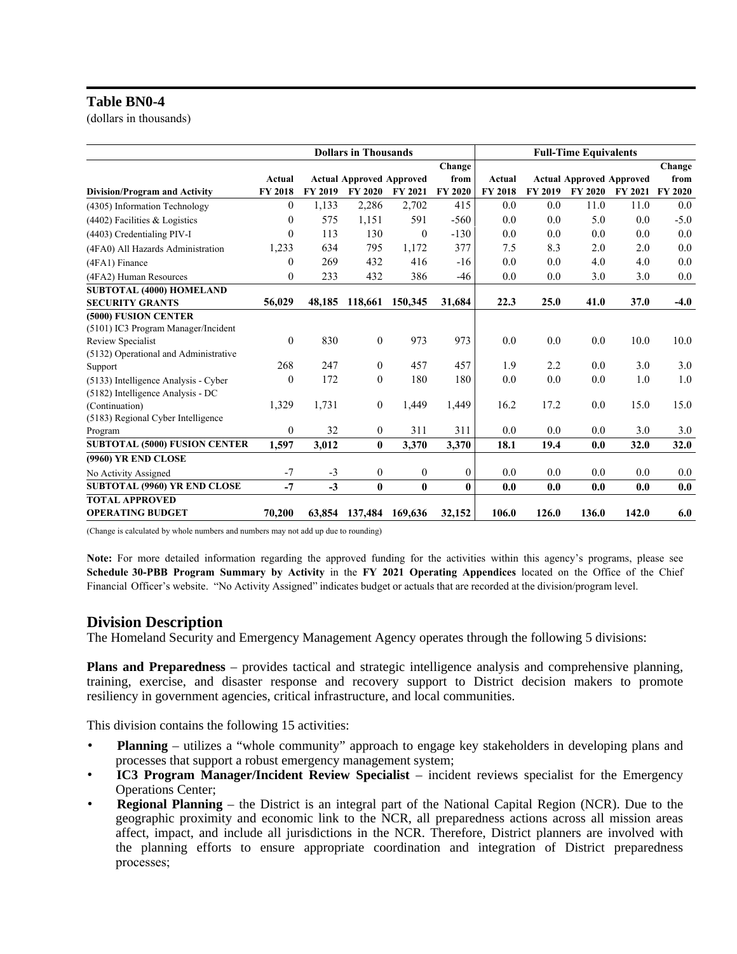#### **Table BN0-4**

(dollars in thousands)

|                                       | <b>Dollars in Thousands</b> |         |                                 |                | <b>Full-Time Equivalents</b> |         |                |                                 |                |                |
|---------------------------------------|-----------------------------|---------|---------------------------------|----------------|------------------------------|---------|----------------|---------------------------------|----------------|----------------|
|                                       |                             |         |                                 |                | Change                       |         |                |                                 |                | Change         |
|                                       | Actual                      |         | <b>Actual Approved Approved</b> |                | from                         | Actual  |                | <b>Actual Approved Approved</b> |                | from           |
| <b>Division/Program and Activity</b>  | <b>FY 2018</b>              | FY 2019 | <b>FY 2020</b>                  | <b>FY 2021</b> | FY 2020                      | FY 2018 | <b>FY 2019</b> | <b>FY 2020</b>                  | <b>FY 2021</b> | <b>FY 2020</b> |
| (4305) Information Technology         | 0                           | 1,133   | 2,286                           | 2,702          | 415                          | 0.0     | 0.0            | 11.0                            | 11.0           | 0.0            |
| $(4402)$ Facilities & Logistics       | 0                           | 575     | 1,151                           | 591            | $-560$                       | 0.0     | 0.0            | 5.0                             | 0.0            | $-5.0$         |
| (4403) Credentialing PIV-I            | $\theta$                    | 113     | 130                             | $\theta$       | $-130$                       | 0.0     | 0.0            | 0.0                             | 0.0            | 0.0            |
| (4FA0) All Hazards Administration     | 1,233                       | 634     | 795                             | 1,172          | 377                          | 7.5     | 8.3            | 2.0                             | 2.0            | 0.0            |
| (4FA1) Finance                        | 0                           | 269     | 432                             | 416            | $-16$                        | 0.0     | 0.0            | 4.0                             | 4.0            | 0.0            |
| (4FA2) Human Resources                | 0                           | 233     | 432                             | 386            | $-46$                        | 0.0     | 0.0            | 3.0                             | 3.0            | $0.0\,$        |
| <b>SUBTOTAL (4000) HOMELAND</b>       |                             |         |                                 |                |                              |         |                |                                 |                |                |
| <b>SECURITY GRANTS</b>                | 56,029                      | 48,185  | 118,661                         | 150,345        | 31,684                       | 22.3    | 25.0           | 41.0                            | 37.0           | $-4.0$         |
| (5000) FUSION CENTER                  |                             |         |                                 |                |                              |         |                |                                 |                |                |
| (5101) IC3 Program Manager/Incident   |                             |         |                                 |                |                              |         |                |                                 |                |                |
| Review Specialist                     | $\theta$                    | 830     | $\overline{0}$                  | 973            | 973                          | 0.0     | 0.0            | 0.0                             | 10.0           | 10.0           |
| (5132) Operational and Administrative |                             |         |                                 |                |                              |         |                |                                 |                |                |
| Support                               | 268                         | 247     | $\overline{0}$                  | 457            | 457                          | 1.9     | 2.2            | 0.0                             | 3.0            | 3.0            |
| (5133) Intelligence Analysis - Cyber  | 0                           | 172     | $\mathbf{0}$                    | 180            | 180                          | 0.0     | 0.0            | 0.0                             | 1.0            | 1.0            |
| (5182) Intelligence Analysis - DC     |                             |         |                                 |                |                              |         |                |                                 |                |                |
| (Continuation)                        | 1,329                       | 1,731   | $\Omega$                        | 1,449          | 1,449                        | 16.2    | 17.2           | 0.0                             | 15.0           | 15.0           |
| (5183) Regional Cyber Intelligence    |                             |         |                                 |                |                              |         |                |                                 |                |                |
| Program                               | $\overline{0}$              | 32      | $\mathbf{0}$                    | 311            | 311                          | 0.0     | 0.0            | 0.0                             | 3.0            | 3.0            |
| <b>SUBTOTAL (5000) FUSION CENTER</b>  | 1,597                       | 3,012   | $\bf{0}$                        | 3,370          | 3,370                        | 18.1    | 19.4           | 0.0                             | 32.0           | 32.0           |
| (9960) YR END CLOSE                   |                             |         |                                 |                |                              |         |                |                                 |                |                |
| No Activity Assigned                  | $-7$                        | $-3$    | $\mathbf{0}$                    | $\mathbf{0}$   | $\theta$                     | 0.0     | 0.0            | 0.0                             | 0.0            | 0.0            |
| <b>SUBTOTAL (9960) YR END CLOSE</b>   | $-7$                        | $-3$    | $\mathbf{0}$                    | $\bf{0}$       | $\bf{0}$                     | 0.0     | 0.0            | 0.0                             | 0.0            | 0.0            |
| <b>TOTAL APPROVED</b>                 |                             |         |                                 |                |                              |         |                |                                 |                |                |
| <b>OPERATING BUDGET</b>               | 70,200                      | 63,854  | 137,484                         | 169,636        | 32,152                       | 106.0   | 126.0          | 136.0                           | 142.0          | 6.0            |

(Change is calculated by whole numbers and numbers may not add up due to rounding)

Note: For more detailed information regarding the approved funding for the activities within this agency's programs, please see Schedule 30-PBB Program Summary by Activity in the FY 2021 Operating Appendices located on the Office of the Chief Financial Officer's website. "No Activity Assigned" indicates budget or actuals that are recorded at the division/program level.

#### **Division Description**

The Homeland Security and Emergency Management Agency operates through the following 5 divisions:

**Plans and Preparedness** – provides tactical and strategic intelligence analysis and comprehensive planning, training, exercise, and disaster response and recovery support to District decision makers to promote resiliency in government agencies, critical infrastructure, and local communities.

This division contains the following 15 activities:

- **Planning** utilizes a "whole community" approach to engage key stakeholders in developing plans and processes that support a robust emergency management system;
- **IC3 Program Manager/Incident Review Specialist** incident reviews specialist for the Emergency Operations Center;
- **Regional Planning** the District is an integral part of the National Capital Region (NCR). Due to the geographic proximity and economic link to the NCR, all preparedness actions across all mission areas affect, impact, and include all jurisdictions in the NCR. Therefore, District planners are involved with the planning efforts to ensure appropriate coordination and integration of District preparedness processes;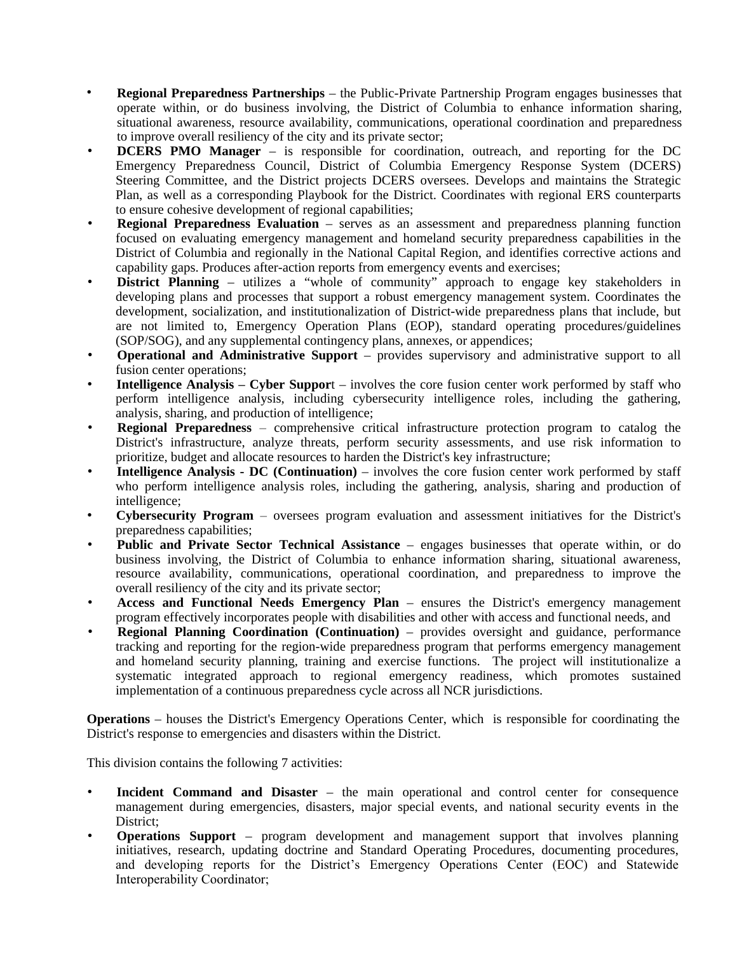- **Regional Preparedness Partnerships** the Public-Private Partnership Program engages businesses that operate within, or do business involving, the District of Columbia to enhance information sharing, situational awareness, resource availability, communications, operational coordination and preparedness to improve overall resiliency of the city and its private sector; •
- **DCERS PMO Manager** is responsible for coordination, outreach, and reporting for the DC Emergency Preparedness Council, District of Columbia Emergency Response System (DCERS) Steering Committee, and the District projects DCERS oversees. Develops and maintains the Strategic Plan, as well as a corresponding Playbook for the District. Coordinates with regional ERS counterparts to ensure cohesive development of regional capabilities;
- **Regional Preparedness Evaluation** serves as an assessment and preparedness planning function focused on evaluating emergency management and homeland security preparedness capabilities in the District of Columbia and regionally in the National Capital Region, and identifies corrective actions and capability gaps. Produces after-action reports from emergency events and exercises;
- **District Planning** utilizes a "whole of community" approach to engage key stakeholders in developing plans and processes that support a robust emergency management system. Coordinates the development, socialization, and institutionalization of District-wide preparedness plans that include, but are not limited to, Emergency Operation Plans (EOP), standard operating procedures/guidelines (SOP/SOG), and any supplemental contingency plans, annexes, or appendices;
- **Operational and Administrative Support** provides supervisory and administrative support to all fusion center operations;
- **Intelligence Analysis Cyber Suppor**t involves the core fusion center work performed by staff who perform intelligence analysis, including cybersecurity intelligence roles, including the gathering, analysis, sharing, and production of intelligence;
- **Regional Preparedness** comprehensive critical infrastructure protection program to catalog the District's infrastructure, analyze threats, perform security assessments, and use risk information to prioritize, budget and allocate resources to harden the District's key infrastructure;
- **Intelligence Analysis - DC (Continuation)** involves the core fusion center work performed by staff who perform intelligence analysis roles, including the gathering, analysis, sharing and production of intelligence;
- **Cybersecurity Program** oversees program evaluation and assessment initiatives for the District's preparedness capabilities;
- **Public and Private Sector Technical Assistance** engages businesses that operate within, or do business involving, the District of Columbia to enhance information sharing, situational awareness, resource availability, communications, operational coordination, and preparedness to improve the overall resiliency of the city and its private sector;
- **Access and Functional Needs Emergency Plan** ensures the District's emergency management program effectively incorporates people with disabilities and other with access and functional needs, and
- **Regional Planning Coordination (Continuation)** provides oversight and guidance, performance tracking and reporting for the region-wide preparedness program that performs emergency management and homeland security planning, training and exercise functions. The project will institutionalize a systematic integrated approach to regional emergency readiness, which promotes sustained implementation of a continuous preparedness cycle across all NCR jurisdictions.

**Operations** – houses the District's Emergency Operations Center, which is responsible for coordinating the District's response to emergencies and disasters within the District.

This division contains the following 7 activities:

- **Incident Command and Disaster** the main operational and control center for consequence management during emergencies, disasters, major special events, and national security events in the District:
- **Operations Support** program development and management support that involves planning initiatives, research, updating doctrine and Standard Operating Procedures, documenting procedures, and developing reports for the District's Emergency Operations Center (EOC) and Statewide Interoperability Coordinator;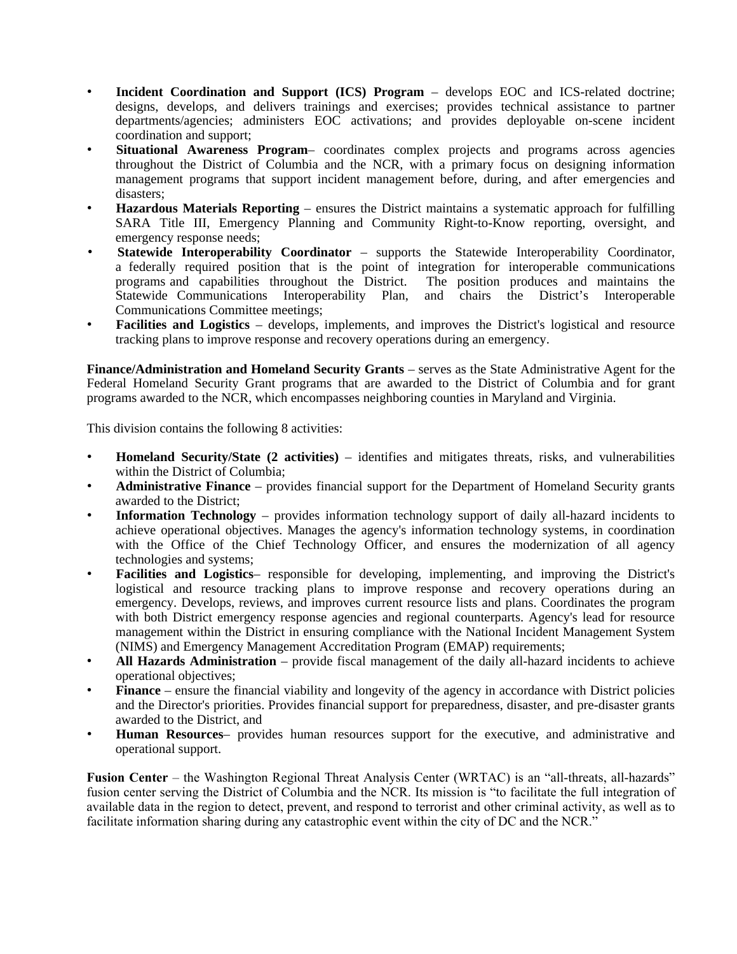- **Incident Coordination and Support (ICS) Program** develops EOC and ICS-related doctrine; designs, develops, and delivers trainings and exercises; provides technical assistance to partner departments/agencies; administers EOC activations; and provides deployable on-scene incident coordination and support;
- **Situational Awareness Program** coordinates complex projects and programs across agencies throughout the District of Columbia and the NCR, with a primary focus on designing information management programs that support incident management before, during, and after emergencies and disasters:
- **Hazardous Materials Reporting** ensures the District maintains a systematic approach for fulfilling SARA Title III, Emergency Planning and Community Right-to-Know reporting, oversight, and emergency response needs;
- **Statewide Interoperability Coordinator** supports the Statewide Interoperability Coordinator, a federally required position that is the point of integration for interoperable communications programs and capabilities throughout the District. The position produces and maintains the programs and capabilities throughout the District. Statewide Communications Interoperability Plan, and chairs the District's Interoperable Communications Committee meetings;
- **Facilities and Logistics** develops, implements, and improves the District's logistical and resource tracking plans to improve response and recovery operations during an emergency.

**Finance/Administration and Homeland Security Grants** – serves as the State Administrative Agent for the Federal Homeland Security Grant programs that are awarded to the District of Columbia and for grant programs awarded to the NCR, which encompasses neighboring counties in Maryland and Virginia.

This division contains the following 8 activities:

- **Homeland Security/State (2 activities)** identifies and mitigates threats, risks, and vulnerabilities within the District of Columbia;
- **Administrative Finance** provides financial support for the Department of Homeland Security grants awarded to the District;
- **Information Technology** provides information technology support of daily all-hazard incidents to achieve operational objectives. Manages the agency's information technology systems, in coordination with the Office of the Chief Technology Officer, and ensures the modernization of all agency technologies and systems;
- **Facilities and Logistics** responsible for developing, implementing, and improving the District's logistical and resource tracking plans to improve response and recovery operations during an emergency. Develops, reviews, and improves current resource lists and plans. Coordinates the program with both District emergency response agencies and regional counterparts. Agency's lead for resource management within the District in ensuring compliance with the National Incident Management System (NIMS) and Emergency Management Accreditation Program (EMAP) requirements;
- **All Hazards Administration** provide fiscal management of the daily all-hazard incidents to achieve operational objectives;
- **Finance** ensure the financial viability and longevity of the agency in accordance with District policies and the Director's priorities. Provides financial support for preparedness, disaster, and pre-disaster grants awarded to the District, and
- **Human Resources** provides human resources support for the executive, and administrative and operational support.

**Fusion Center** – the Washington Regional Threat Analysis Center (WRTAC) is an "all-threats, all-hazards" fusion center serving the District of Columbia and the NCR. Its mission is "to facilitate the full integration of available data in the region to detect, prevent, and respond to terrorist and other criminal activity, as well as to facilitate information sharing during any catastrophic event within the city of DC and the NCR."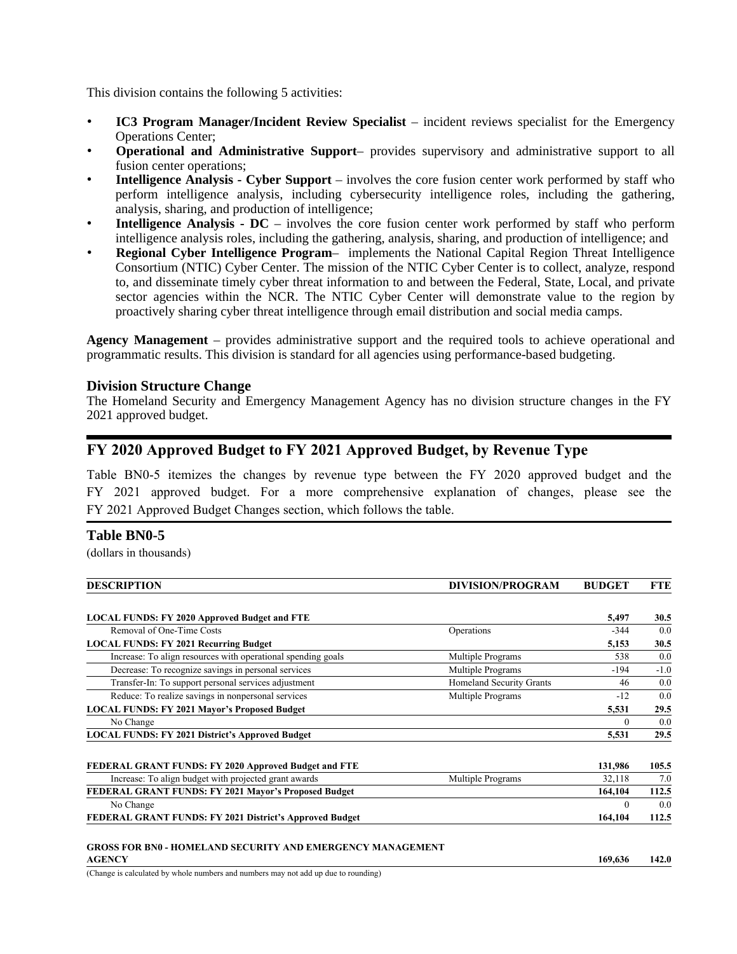This division contains the following 5 activities:

- **IC3 Program Manager/Incident Review Specialist** incident reviews specialist for the Emergency Operations Center;
- **Operational and Administrative Support** provides supervisory and administrative support to all fusion center operations;
- **Intelligence Analysis - Cyber Support** involves the core fusion center work performed by staff who perform intelligence analysis, including cybersecurity intelligence roles, including the gathering, analysis, sharing, and production of intelligence;
- **Intelligence Analysis - DC** involves the core fusion center work performed by staff who perform intelligence analysis roles, including the gathering, analysis, sharing, and production of intelligence; and
- **Regional Cyber Intelligence Program** implements the National Capital Region Threat Intelligence Consortium (NTIC) Cyber Center. The mission of the NTIC Cyber Center is to collect, analyze, respond to, and disseminate timely cyber threat information to and between the Federal, State, Local, and private sector agencies within the NCR. The NTIC Cyber Center will demonstrate value to the region by proactively sharing cyber threat intelligence through email distribution and social media camps.

**Agency Management** – provides administrative support and the required tools to achieve operational and programmatic results. This division is standard for all agencies using performance-based budgeting.

#### **Division Structure Change**

The Homeland Security and Emergency Management Agency has no division structure changes in the FY 2021 approved budget.

### FY 2020 Approved Budget to FY 2021 Approved Budget, by Revenue Type

Table BN0-5 itemizes the changes by revenue type between the FY 2020 approved budget and the FY 2021 approved budget. For a more comprehensive explanation of changes, please see the FY 2021 Approved Budget Changes section, which follows the table.

#### **Table BN0-5**

(dollars in thousands)

| <b>DESCRIPTION</b>                                           | <b>DIVISION/PROGRAM</b>         | <b>BUDGET</b> | FTE    |
|--------------------------------------------------------------|---------------------------------|---------------|--------|
| <b>LOCAL FUNDS: FY 2020 Approved Budget and FTE</b>          |                                 | 5,497         | 30.5   |
| Removal of One-Time Costs                                    | Operations                      | $-344$        | 0.0    |
| <b>LOCAL FUNDS: FY 2021 Recurring Budget</b>                 |                                 | 5,153         | 30.5   |
| Increase: To align resources with operational spending goals | Multiple Programs               | 538           | 0.0    |
| Decrease: To recognize savings in personal services          | Multiple Programs               | $-194$        | $-1.0$ |
| Transfer-In: To support personal services adjustment         | <b>Homeland Security Grants</b> | 46            | 0.0    |
| Reduce: To realize savings in nonpersonal services           | Multiple Programs               | $-12$         | 0.0    |
| <b>LOCAL FUNDS: FY 2021 Mayor's Proposed Budget</b>          |                                 | 5,531         | 29.5   |
| No Change                                                    |                                 | $\Omega$      | 0.0    |
| <b>LOCAL FUNDS: FY 2021 District's Approved Budget</b>       |                                 | 5,531         | 29.5   |
| FEDERAL GRANT FUNDS: FY 2020 Approved Budget and FTE         |                                 | 131,986       | 105.5  |
| Increase: To align budget with projected grant awards        | Multiple Programs               | 32,118        | 7.0    |
| FEDERAL GRANT FUNDS: FY 2021 Mayor's Proposed Budget         |                                 | 164,104       | 112.5  |
| No Change                                                    |                                 | $\Omega$      | 0.0    |
| FEDERAL GRANT FUNDS: FY 2021 District's Approved Budget      |                                 | 164,104       | 112.5  |

#### GROSS FOR BN0 - HOMELAND SECURITY AND EMERGENCY MANAGEMENT AGENCY 169,636 142.0

(Change is calculated by whole numbers and numbers may not add up due to rounding)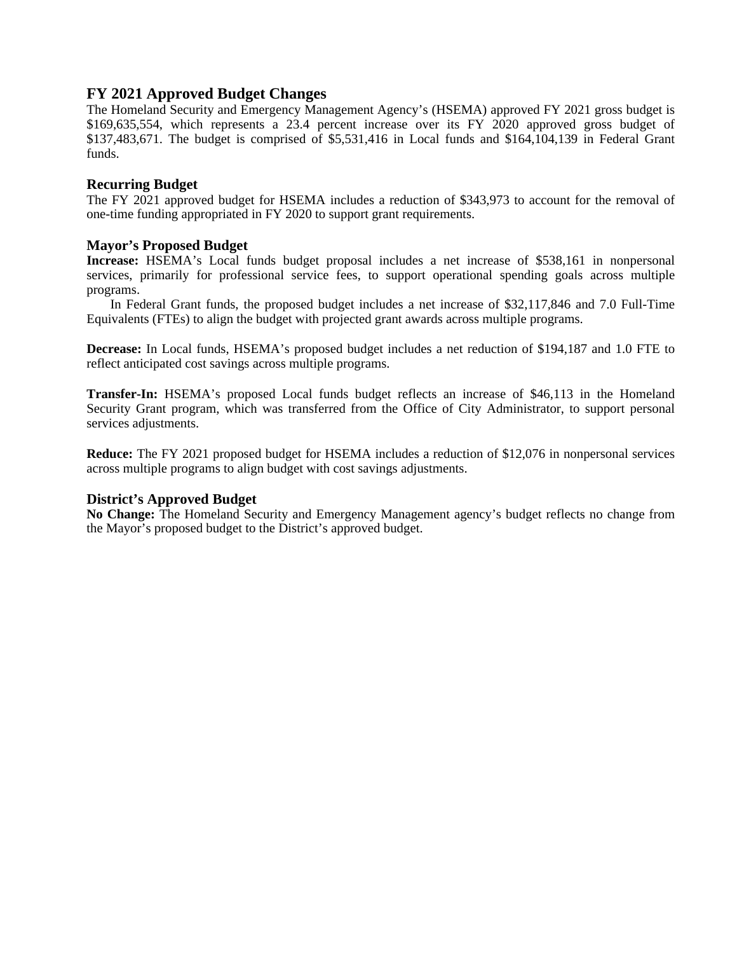### **FY 2021 Approved Budget Changes**

The Homeland Security and Emergency Management Agency's (HSEMA) approved FY 2021 gross budget is \$169,635,554, which represents a 23.4 percent increase over its FY 2020 approved gross budget of \$137,483,671. The budget is comprised of \$5,531,416 in Local funds and \$164,104,139 in Federal Grant funds.

#### **Recurring Budget**

The FY 2021 approved budget for HSEMA includes a reduction of \$343,973 to account for the removal of one-time funding appropriated in FY 2020 to support grant requirements.

#### **Mayor's Proposed Budget**

**Increase:** HSEMA's Local funds budget proposal includes a net increase of \$538,161 in nonpersonal services, primarily for professional service fees, to support operational spending goals across multiple programs.

In Federal Grant funds, the proposed budget includes a net increase of \$32,117,846 and 7.0 Full-Time Equivalents (FTEs) to align the budget with projected grant awards across multiple programs.

**Decrease:** In Local funds, HSEMA's proposed budget includes a net reduction of \$194,187 and 1.0 FTE to reflect anticipated cost savings across multiple programs.

**Transfer-In:** HSEMA's proposed Local funds budget reflects an increase of \$46,113 in the Homeland Security Grant program, which was transferred from the Office of City Administrator, to support personal services adjustments.

**Reduce:** The FY 2021 proposed budget for HSEMA includes a reduction of \$12,076 in nonpersonal services across multiple programs to align budget with cost savings adjustments.

#### **District's Approved Budget**

**No Change:** The Homeland Security and Emergency Management agency's budget reflects no change from the Mayor's proposed budget to the District's approved budget.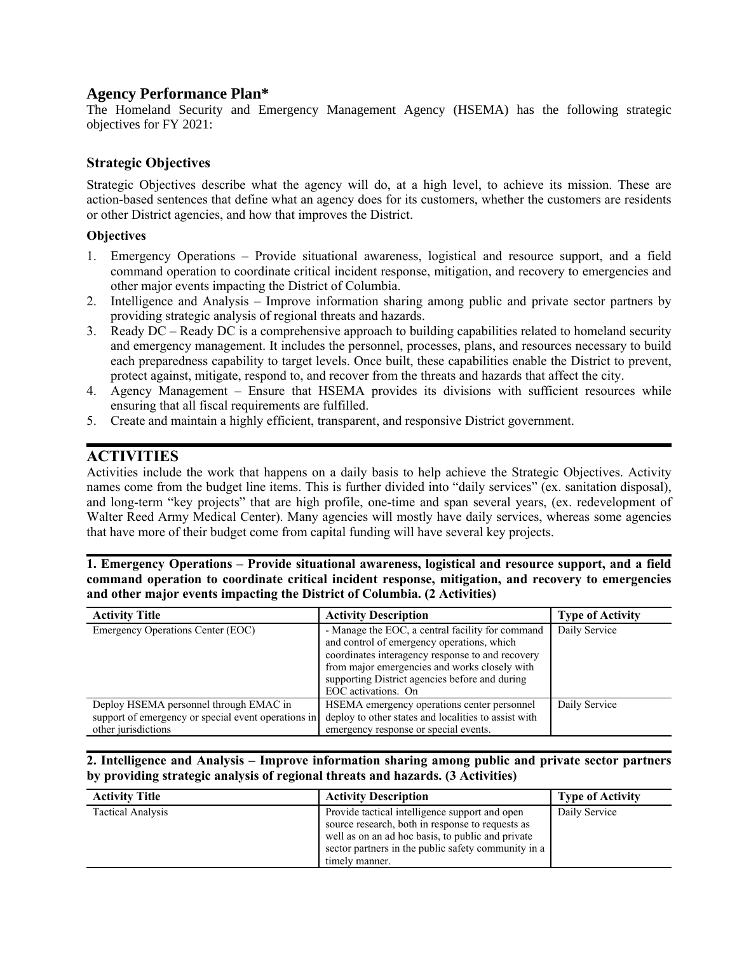# **Agency Performance Plan\***

The Homeland Security and Emergency Management Agency (HSEMA) has the following strategic objectives for FY 2021:

### Strategic Objectives

Strategic Objectives describe what the agency will do, at a high level, to achieve its mission. These are action-based sentences that define what an agency does for its customers, whether the customers are residents or other District agencies, and how that improves the District.

#### **Objectives**

- 1. Emergency Operations Provide situational awareness, logistical and resource support, and a field command operation to coordinate critical incident response, mitigation, and recovery to emergencies and other major events impacting the District of Columbia.
- 2. Intelligence and Analysis Improve information sharing among public and private sector partners by providing strategic analysis of regional threats and hazards.
- 3. Ready DC Ready DC is a comprehensive approach to building capabilities related to homeland security and emergency management. It includes the personnel, processes, plans, and resources necessary to build each preparedness capability to target levels. Once built, these capabilities enable the District to prevent, protect against, mitigate, respond to, and recover from the threats and hazards that affect the city.
- 4. Agency Management Ensure that HSEMA provides its divisions with sufficient resources while ensuring that all fiscal requirements are fulfilled.
- 5. Create and maintain a highly efficient, transparent, and responsive District government.

# **ACTIVITIES**

Activities include the work that happens on a daily basis to help achieve the Strategic Objectives. Activity names come from the budget line items. This is further divided into "daily services" (ex. sanitation disposal), and long-term "key projects" that are high profile, one-time and span several years, (ex. redevelopment of Walter Reed Army Medical Center). Many agencies will mostly have daily services, whereas some agencies that have more of their budget come from capital funding will have several key projects.

1. Emergency Operations – Provide situational awareness, logistical and resource support, and a field command operation to coordinate critical incident response, mitigation, and recovery to emergencies and other major events impacting the District of Columbia. (2 Activities)

| <b>Activity Title</b>                                                                                                | <b>Activity Description</b>                                                                                                                                                                                                                                                  | <b>Type of Activity</b> |
|----------------------------------------------------------------------------------------------------------------------|------------------------------------------------------------------------------------------------------------------------------------------------------------------------------------------------------------------------------------------------------------------------------|-------------------------|
| Emergency Operations Center (EOC)                                                                                    | - Manage the EOC, a central facility for command<br>and control of emergency operations, which<br>coordinates interagency response to and recovery<br>from major emergencies and works closely with<br>supporting District agencies before and during<br>EOC activations. On | Daily Service           |
| Deploy HSEMA personnel through EMAC in<br>support of emergency or special event operations in<br>other jurisdictions | HSEMA emergency operations center personnel<br>deploy to other states and localities to assist with<br>emergency response or special events.                                                                                                                                 | Daily Service           |

#### 2. Intelligence and Analysis – Improve information sharing among public and private sector partners by providing strategic analysis of regional threats and hazards. (3 Activities)

| <b>Activity Title</b>    | <b>Activity Description</b>                                                                                                                                                                                                      | <b>Type of Activity</b> |
|--------------------------|----------------------------------------------------------------------------------------------------------------------------------------------------------------------------------------------------------------------------------|-------------------------|
| <b>Tactical Analysis</b> | Provide tactical intelligence support and open<br>source research, both in response to requests as<br>well as on an ad hoc basis, to public and private<br>sector partners in the public safety community in a<br>timely manner. | Daily Service           |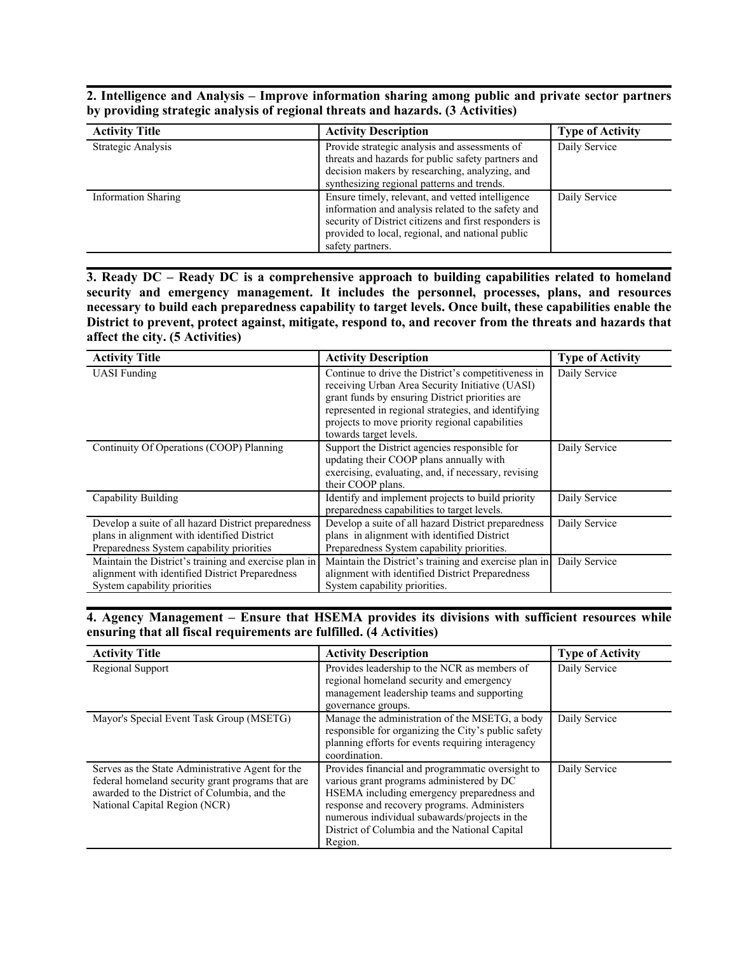2. Intelligence and Analysis – Improve information sharing among public and private sector partners by providing strategic analysis of regional threats and hazards. (3 Activities)

| <b>Activity Title</b>      | <b>Activity Description</b>                                                                                                                                                                                                             | <b>Type of Activity</b> |
|----------------------------|-----------------------------------------------------------------------------------------------------------------------------------------------------------------------------------------------------------------------------------------|-------------------------|
| Strategic Analysis         | Provide strategic analysis and assessments of<br>threats and hazards for public safety partners and<br>decision makers by researching, analyzing, and<br>synthesizing regional patterns and trends.                                     | Daily Service           |
| <b>Information Sharing</b> | Ensure timely, relevant, and vetted intelligence<br>information and analysis related to the safety and<br>security of District citizens and first responders is<br>provided to local, regional, and national public<br>safety partners. | Daily Service           |

3. Ready DC – Ready DC is a comprehensive approach to building capabilities related to homeland security and emergency management. It includes the personnel, processes, plans, and resources necessary to build each preparedness capability to target levels. Once built, these capabilities enable the District to prevent, protect against, mitigate, respond to, and recover from the threats and hazards that affect the city. (5 Activities)

| <b>Activity Title</b>                                                                                                                           | <b>Activity Description</b>                                                                                                                                                                                                                                                                   | <b>Type of Activity</b> |
|-------------------------------------------------------------------------------------------------------------------------------------------------|-----------------------------------------------------------------------------------------------------------------------------------------------------------------------------------------------------------------------------------------------------------------------------------------------|-------------------------|
| <b>UASI</b> Funding                                                                                                                             | Continue to drive the District's competitiveness in<br>receiving Urban Area Security Initiative (UASI)<br>grant funds by ensuring District priorities are<br>represented in regional strategies, and identifying<br>projects to move priority regional capabilities<br>towards target levels. | Daily Service           |
| Continuity Of Operations (COOP) Planning                                                                                                        | Support the District agencies responsible for<br>updating their COOP plans annually with<br>exercising, evaluating, and, if necessary, revising<br>their COOP plans.                                                                                                                          | Daily Service           |
| Capability Building                                                                                                                             | Identify and implement projects to build priority<br>preparedness capabilities to target levels.                                                                                                                                                                                              | Daily Service           |
| Develop a suite of all hazard District preparedness<br>plans in alignment with identified District<br>Preparedness System capability priorities | Develop a suite of all hazard District preparedness<br>plans in alignment with identified District<br>Preparedness System capability priorities.                                                                                                                                              | Daily Service           |
| Maintain the District's training and exercise plan in<br>alignment with identified District Preparedness<br>System capability priorities        | Maintain the District's training and exercise plan in<br>alignment with identified District Preparedness<br>System capability priorities.                                                                                                                                                     | Daily Service           |

4. Agency Management – Ensure that HSEMA provides its divisions with sufficient resources while ensuring that all fiscal requirements are fulfilled. (4 Activities)

| <b>Activity Title</b>                                                                                                                                                                  | <b>Activity Description</b>                                                                                                                                                                                                                                                                             | <b>Type of Activity</b> |
|----------------------------------------------------------------------------------------------------------------------------------------------------------------------------------------|---------------------------------------------------------------------------------------------------------------------------------------------------------------------------------------------------------------------------------------------------------------------------------------------------------|-------------------------|
| Regional Support                                                                                                                                                                       | Provides leadership to the NCR as members of<br>regional homeland security and emergency<br>management leadership teams and supporting<br>governance groups.                                                                                                                                            | Daily Service           |
| Mayor's Special Event Task Group (MSETG)                                                                                                                                               | Manage the administration of the MSETG, a body<br>responsible for organizing the City's public safety<br>planning efforts for events requiring interagency<br>coordination.                                                                                                                             | Daily Service           |
| Serves as the State Administrative Agent for the<br>federal homeland security grant programs that are<br>awarded to the District of Columbia, and the<br>National Capital Region (NCR) | Provides financial and programmatic oversight to<br>various grant programs administered by DC<br>HSEMA including emergency preparedness and<br>response and recovery programs. Administers<br>numerous individual subawards/projects in the<br>District of Columbia and the National Capital<br>Region. | Daily Service           |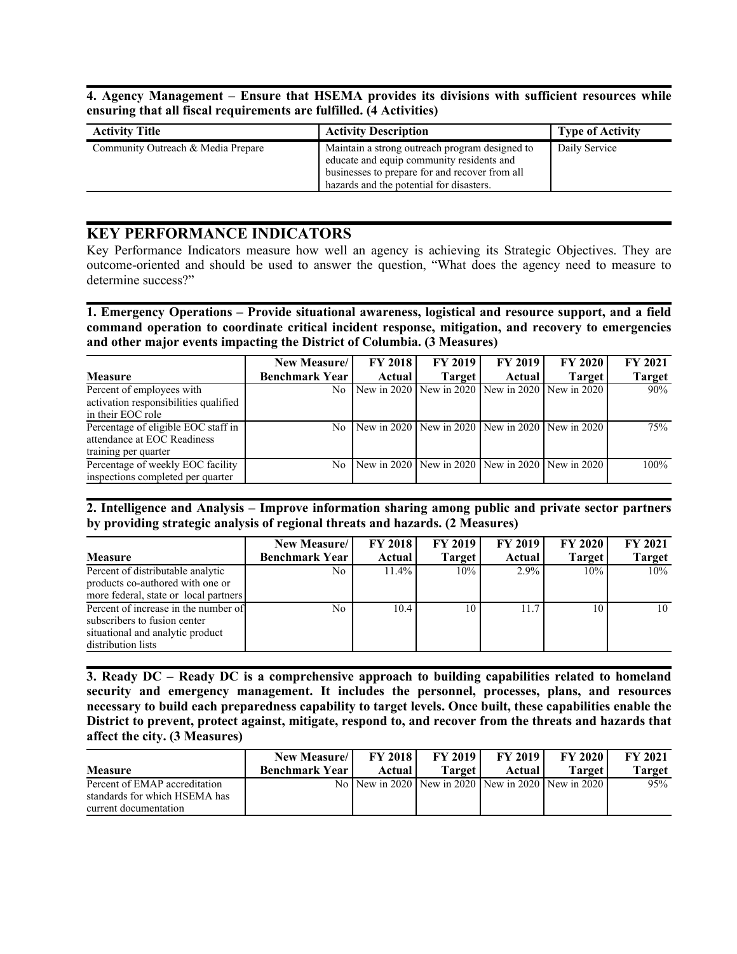4. Agency Management – Ensure that HSEMA provides its divisions with sufficient resources while ensuring that all fiscal requirements are fulfilled. (4 Activities)

| <b>Activity Title</b>              | <b>Activity Description</b>                                                                                                                                                               | <b>Type of Activity</b> |
|------------------------------------|-------------------------------------------------------------------------------------------------------------------------------------------------------------------------------------------|-------------------------|
| Community Outreach & Media Prepare | Maintain a strong outreach program designed to<br>educate and equip community residents and<br>businesses to prepare for and recover from all<br>hazards and the potential for disasters. | Daily Service           |

### KEY PERFORMANCE INDICATORS

Key Performance Indicators measure how well an agency is achieving its Strategic Objectives. They are outcome-oriented and should be used to answer the question, "What does the agency need to measure to determine success?"

1. Emergency Operations – Provide situational awareness, logistical and resource support, and a field command operation to coordinate critical incident response, mitigation, and recovery to emergencies and other major events impacting the District of Columbia. (3 Measures)

|                                                                                            | New Measure/          | <b>FY 2018</b> | <b>FY 2019</b>                                  | <b>FY 2019</b> | <b>FY 2020</b> | <b>FY 2021</b> |
|--------------------------------------------------------------------------------------------|-----------------------|----------------|-------------------------------------------------|----------------|----------------|----------------|
| <b>Measure</b>                                                                             | <b>Benchmark Year</b> | Actual         | <b>Target</b>                                   | Actual         | <b>Target</b>  | <b>Target</b>  |
| Percent of employees with<br>activation responsibilities qualified<br>in their EOC role    | No                    |                | New in 2020 New in 2020 New in 2020 New in 2020 |                |                | 90%            |
| Percentage of eligible EOC staff in<br>attendance at EOC Readiness<br>training per quarter | No                    |                | New in 2020 New in 2020 New in 2020 New in 2020 |                |                | 75%            |
| Percentage of weekly EOC facility<br>inspections completed per quarter                     | No                    |                | New in 2020 New in 2020 New in 2020 New in 2020 |                |                | 100%           |

2. Intelligence and Analysis – Improve information sharing among public and private sector partners by providing strategic analysis of regional threats and hazards. (2 Measures)

|                                                                                                                                | New Measure/          | <b>FY 2018</b> | <b>FY 2019</b> | <b>FY 2019</b> | <b>FY 2020</b> | <b>FY 2021</b> |
|--------------------------------------------------------------------------------------------------------------------------------|-----------------------|----------------|----------------|----------------|----------------|----------------|
| <b>Measure</b>                                                                                                                 | <b>Benchmark Year</b> | Actual         | <b>Target</b>  | Actual         | <b>Target</b>  | <b>Target</b>  |
| Percent of distributable analytic<br>products co-authored with one or<br>more federal, state or local partners                 | No.                   | $11.4\%$       | 10%            | 2.9%           | 10%            | 10%            |
| Percent of increase in the number of<br>subscribers to fusion center<br>situational and analytic product<br>distribution lists | No                    | 10.4           | 10             | 11.7           | 10             | 10             |

3. Ready DC – Ready DC is a comprehensive approach to building capabilities related to homeland security and emergency management. It includes the personnel, processes, plans, and resources necessary to build each preparedness capability to target levels. Once built, these capabilities enable the District to prevent, protect against, mitigate, respond to, and recover from the threats and hazards that affect the city. (3 Measures)

|                               | New Measure/          | <b>FY 2018</b> | <b>FY 2019</b> | <b>FY 2019</b>  | <b>FY 2020</b>                                             | <b>FY 2021</b> |
|-------------------------------|-----------------------|----------------|----------------|-----------------|------------------------------------------------------------|----------------|
| <b>Measure</b>                | <b>Benchmark Year</b> | Actual         | Target 1       | Actual <i>I</i> | Target                                                     | Target         |
| Percent of EMAP accreditation |                       |                |                |                 | No   New in 2020   New in 2020   New in 2020   New in 2020 | 95%            |
| standards for which HSEMA has |                       |                |                |                 |                                                            |                |
| current documentation         |                       |                |                |                 |                                                            |                |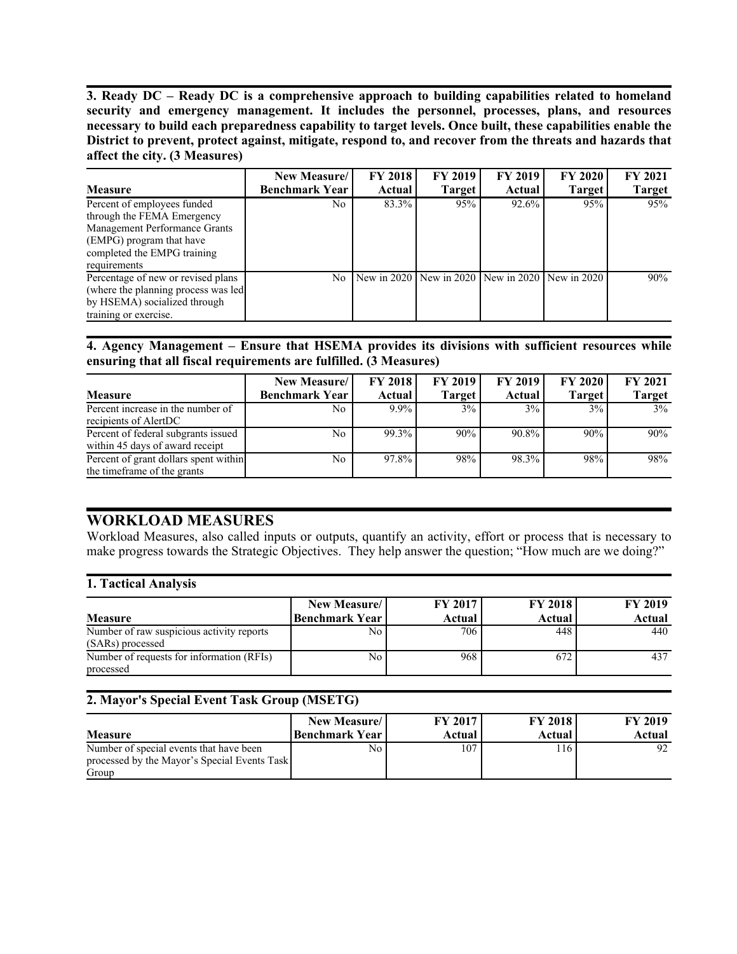3. Ready DC – Ready DC is a comprehensive approach to building capabilities related to homeland security and emergency management. It includes the personnel, processes, plans, and resources necessary to build each preparedness capability to target levels. Once built, these capabilities enable the District to prevent, protect against, mitigate, respond to, and recover from the threats and hazards that affect the city. (3 Measures)

|                                                                                                                                                                       | New Measure/          | <b>FY 2018</b> | <b>FY 2019</b>                      | FY 2019 | <b>FY 2020</b> | <b>FY 2021</b> |
|-----------------------------------------------------------------------------------------------------------------------------------------------------------------------|-----------------------|----------------|-------------------------------------|---------|----------------|----------------|
| <b>Measure</b>                                                                                                                                                        | <b>Benchmark Year</b> | Actual         | <b>Target</b>                       | Actual  | Target         | <b>Target</b>  |
| Percent of employees funded<br>through the FEMA Emergency<br>Management Performance Grants<br>(EMPG) program that have<br>completed the EMPG training<br>requirements | No.                   | 83.3%          | 95%                                 | 92.6%   | 95%            | 95%            |
| Percentage of new or revised plans<br>(where the planning process was led<br>by HSEMA) socialized through<br>training or exercise.                                    | N <sub>0</sub>        |                | New in 2020 New in 2020 New in 2020 |         | New in 2020    | 90%            |

#### 4. Agency Management – Ensure that HSEMA provides its divisions with sufficient resources while ensuring that all fiscal requirements are fulfilled. (3 Measures)

|                                                                        | <b>New Measure/</b>   | <b>FY 2018</b> | <b>FY 2019</b> | <b>FY 2019</b> | <b>FY 2020</b> | <b>FY 2021</b> |
|------------------------------------------------------------------------|-----------------------|----------------|----------------|----------------|----------------|----------------|
| <b>Measure</b>                                                         | <b>Benchmark Year</b> | Actual         | <b>Target</b>  | Actual         | <b>Target</b>  | <b>Target</b>  |
| Percent increase in the number of<br>recipients of AlertDC             | No                    | $9.9\%$        | 3%             | 3%             | 3%             | 3%             |
| Percent of federal subgrants issued<br>within 45 days of award receipt | No                    | $99.3\%$       | 90%            | 90.8%          | 90%            | 90%            |
| Percent of grant dollars spent within<br>the time frame of the grants  | No                    | $97.8\%$       | 98%            | 98.3%          | 98%            | 98%            |

# WORKLOAD MEASURES

Workload Measures, also called inputs or outputs, quantify an activity, effort or process that is necessary to make progress towards the Strategic Objectives. They help answer the question; "How much are we doing?"

#### 1. Tactical Analysis

|                                           | New Measure/          | FY 2017 | <b>FY 2018</b> | <b>FY 2019</b> |
|-------------------------------------------|-----------------------|---------|----------------|----------------|
| <b>Measure</b>                            | <b>Benchmark Year</b> | Actual  | Actual         | Actual         |
| Number of raw suspicious activity reports | No                    | 706     | 448            | 440            |
| (SARs) processed                          |                       |         |                |                |
| Number of requests for information (RFIs) | No                    | 968     | 672            | 437            |
| processed                                 |                       |         |                |                |

#### 2. Mayor's Special Event Task Group (MSETG)

| <b>Measure</b>                               | <b>New Measure</b><br> Benchmark Year | FY 2017<br>Actual | <b>FY 2018</b><br>Actual | <b>FY 2019</b><br>Actual |
|----------------------------------------------|---------------------------------------|-------------------|--------------------------|--------------------------|
| Number of special events that have been      | No.                                   | 107               | 116                      |                          |
| processed by the Mayor's Special Events Task |                                       |                   |                          |                          |
| Group                                        |                                       |                   |                          |                          |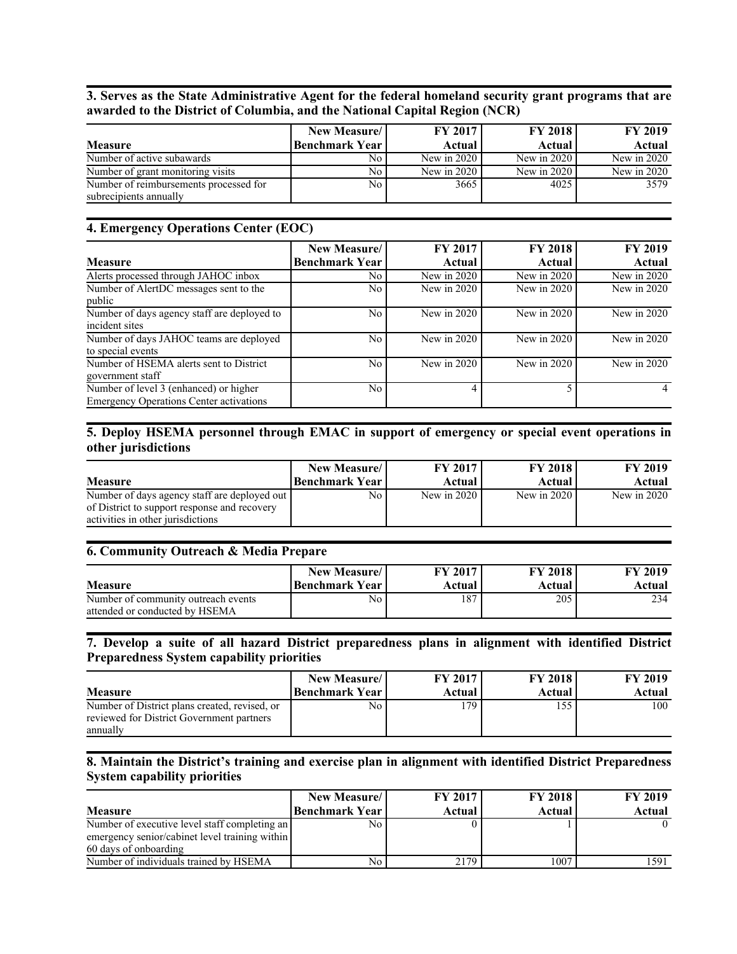3. Serves as the State Administrative Agent for the federal homeland security grant programs that are awarded to the District of Columbia, and the National Capital Region (NCR)

|                                                                  | New Measure/          | <b>FY 2017</b> | <b>FY 2018</b> | <b>FY 2019</b> |
|------------------------------------------------------------------|-----------------------|----------------|----------------|----------------|
| <b>Measure</b>                                                   | <b>Benchmark Year</b> | <b>Actual</b>  | Actual         | Actual         |
| Number of active subawards                                       | No                    | New in $2020$  | New in $2020$  | New in $2020$  |
| Number of grant monitoring visits                                | No                    | New in $2020$  | New in $2020$  | New in $2020$  |
| Number of reimbursements processed for<br>subrecipients annually | No.                   | 3665           | 4025           | 3579           |

#### 4. Emergency Operations Center (EOC)

|                                                                                          | New Measure/          | <b>FY 2017</b> | <b>FY 2018</b> | <b>FY 2019</b> |
|------------------------------------------------------------------------------------------|-----------------------|----------------|----------------|----------------|
| <b>Measure</b>                                                                           | <b>Benchmark Year</b> | Actual         | Actual         | Actual         |
| Alerts processed through JAHOC inbox                                                     | No                    | New in $2020$  | New in 2020    | New in 2020    |
| Number of AlertDC messages sent to the<br>public                                         | No                    | New in $2020$  | New in $2020$  | New in $2020$  |
| Number of days agency staff are deployed to<br>incident sites                            | N <sub>0</sub>        | New in $2020$  | New in 2020    | New in $2020$  |
| Number of days JAHOC teams are deployed<br>to special events                             | No                    | New in $2020$  | New in 2020    | New in 2020    |
| Number of HSEMA alerts sent to District<br>government staff                              | N <sub>0</sub>        | New in 2020    | New in 2020    | New in $2020$  |
| Number of level 3 (enhanced) or higher<br><b>Emergency Operations Center activations</b> | No                    |                |                |                |

#### 5. Deploy HSEMA personnel through EMAC in support of emergency or special event operations in other jurisdictions

| <b>Measure</b>                                                                                                                    | <b>New Measure</b> | FY 2017       | <b>FY 2018</b> | <b>FY 2019</b> |
|-----------------------------------------------------------------------------------------------------------------------------------|--------------------|---------------|----------------|----------------|
|                                                                                                                                   | Benchmark Year     | Actual        | Actual         | Actual         |
| Number of days agency staff are deployed out<br>of District to support response and recovery<br>activities in other jurisdictions | No l               | New in $2020$ | New in $2020$  | New in $2020$  |

#### 6. Community Outreach & Media Prepare

| <b>Measure</b>                                                        | New Measure/          | FY 2017 | <b>FY 2018</b> | <b>FY 2019</b> |
|-----------------------------------------------------------------------|-----------------------|---------|----------------|----------------|
|                                                                       | <b>Benchmark Year</b> | Actual  | Actual         | Actual         |
| Number of community outreach events<br>attended or conducted by HSEMA | No.                   | 187     | 205            | 234            |

#### 7. Develop a suite of all hazard District preparedness plans in alignment with identified District Preparedness System capability priorities

| <b>Measure</b>                                                                                         | New Measure/   | <b>FY 2017</b> | <b>FY 2018</b> | <b>FY 2019</b> |
|--------------------------------------------------------------------------------------------------------|----------------|----------------|----------------|----------------|
|                                                                                                        | Benchmark Year | Actual         | Actual         | Actual         |
| Number of District plans created, revised, or<br>reviewed for District Government partners<br>annually | No             | 179            | 155            | 100            |

#### 8. Maintain the District's training and exercise plan in alignment with identified District Preparedness System capability priorities

|                                                | New Measure/          | <b>FY 2017</b> | <b>FY 2018</b> | <b>FY 2019</b> |
|------------------------------------------------|-----------------------|----------------|----------------|----------------|
| <b>Measure</b>                                 | <b>Benchmark Year</b> | Actual         | Actual         | Actual         |
| Number of executive level staff completing an  | No                    |                |                |                |
| emergency senior/cabinet level training within |                       |                |                |                |
| 60 days of onboarding                          |                       |                |                |                |
| Number of individuals trained by HSEMA         | No                    | 2179           | 1007           | 1591           |